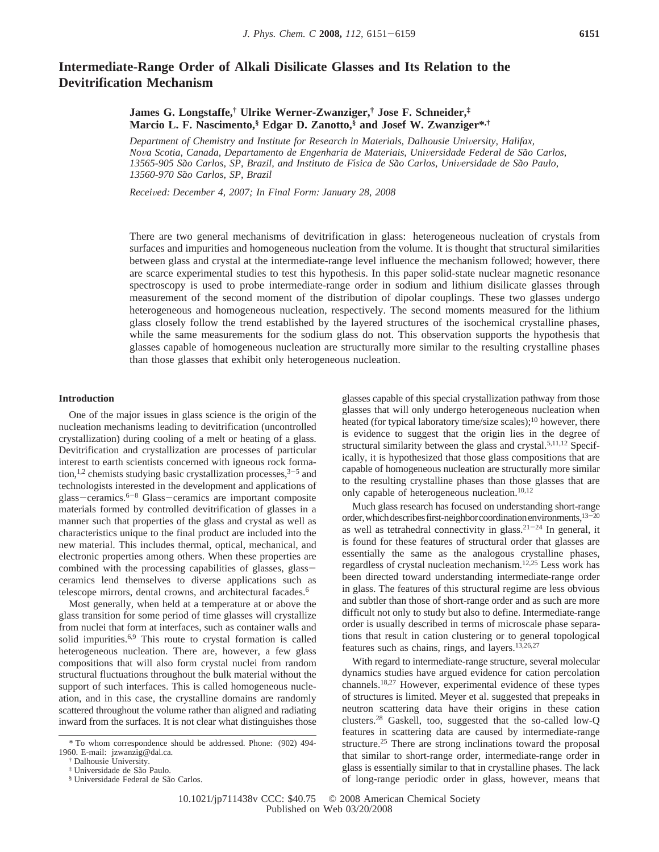# **Intermediate-Range Order of Alkali Disilicate Glasses and Its Relation to the Devitrification Mechanism**

# **James G. Longstaffe,† Ulrike Werner-Zwanziger,† Jose F. Schneider,‡ Marcio L. F. Nascimento,§ Edgar D. Zanotto,§ and Josef W. Zwanziger\*,†**

*Department of Chemistry and Institute for Research in Materials, Dalhousie University, Halifax, No*V*a Scotia, Canada, Departamento de Engenharia de Materiais, Uni*V*ersidade Federal de Sa*˜*o Carlos, 13565-905 Sa*˜*o Carlos, SP, Brazil, and Instituto de Fı*´*sica de Sa*˜*o Carlos, Uni*V*ersidade de Sa*˜*o Paulo, 13560-970 Sa*˜*o Carlos, SP, Brazil*

*Recei*V*ed: December 4, 2007; In Final Form: January 28, 2008*

There are two general mechanisms of devitrification in glass: heterogeneous nucleation of crystals from surfaces and impurities and homogeneous nucleation from the volume. It is thought that structural similarities between glass and crystal at the intermediate-range level influence the mechanism followed; however, there are scarce experimental studies to test this hypothesis. In this paper solid-state nuclear magnetic resonance spectroscopy is used to probe intermediate-range order in sodium and lithium disilicate glasses through measurement of the second moment of the distribution of dipolar couplings. These two glasses undergo heterogeneous and homogeneous nucleation, respectively. The second moments measured for the lithium glass closely follow the trend established by the layered structures of the isochemical crystalline phases, while the same measurements for the sodium glass do not. This observation supports the hypothesis that glasses capable of homogeneous nucleation are structurally more similar to the resulting crystalline phases than those glasses that exhibit only heterogeneous nucleation.

### **Introduction**

One of the major issues in glass science is the origin of the nucleation mechanisms leading to devitrification (uncontrolled crystallization) during cooling of a melt or heating of a glass. Devitrification and crystallization are processes of particular interest to earth scientists concerned with igneous rock formation,<sup>1,2</sup> chemists studying basic crystallization processes, $3-5$  and technologists interested in the development and applications of glass-ceramics.6-<sup>8</sup> Glass-ceramics are important composite materials formed by controlled devitrification of glasses in a manner such that properties of the glass and crystal as well as characteristics unique to the final product are included into the new material. This includes thermal, optical, mechanical, and electronic properties among others. When these properties are combined with the processing capabilities of glasses, glassceramics lend themselves to diverse applications such as telescope mirrors, dental crowns, and architectural facades.<sup>6</sup>

Most generally, when held at a temperature at or above the glass transition for some period of time glasses will crystallize from nuclei that form at interfaces, such as container walls and solid impurities.<sup>6,9</sup> This route to crystal formation is called heterogeneous nucleation. There are, however, a few glass compositions that will also form crystal nuclei from random structural fluctuations throughout the bulk material without the support of such interfaces. This is called homogeneous nucleation, and in this case, the crystalline domains are randomly scattered throughout the volume rather than aligned and radiating inward from the surfaces. It is not clear what distinguishes those

glasses capable of this special crystallization pathway from those glasses that will only undergo heterogeneous nucleation when heated (for typical laboratory time/size scales);<sup>10</sup> however, there is evidence to suggest that the origin lies in the degree of structural similarity between the glass and crystal.<sup>5,11,12</sup> Specifically, it is hypothesized that those glass compositions that are capable of homogeneous nucleation are structurally more similar to the resulting crystalline phases than those glasses that are only capable of heterogeneous nucleation.10,12

Much glass research has focused on understanding short-range order, which describes first-neighbor coordination environments,  $13-20$ as well as tetrahedral connectivity in glass. $21-24$  In general, it is found for these features of structural order that glasses are essentially the same as the analogous crystalline phases, regardless of crystal nucleation mechanism.12,25 Less work has been directed toward understanding intermediate-range order in glass. The features of this structural regime are less obvious and subtler than those of short-range order and as such are more difficult not only to study but also to define. Intermediate-range order is usually described in terms of microscale phase separations that result in cation clustering or to general topological features such as chains, rings, and layers.13,26,27

With regard to intermediate-range structure, several molecular dynamics studies have argued evidence for cation percolation channels.18,27 However, experimental evidence of these types of structures is limited. Meyer et al. suggested that prepeaks in neutron scattering data have their origins in these cation clusters.28 Gaskell, too, suggested that the so-called low-Q features in scattering data are caused by intermediate-range structure.25 There are strong inclinations toward the proposal that similar to short-range order, intermediate-range order in glass is essentially similar to that in crystalline phases. The lack of long-range periodic order in glass, however, means that

<sup>\*</sup> To whom correspondence should be addressed. Phone: (902) 494- 1960. E-mail: jzwanzig@dal.ca.

<sup>†</sup> Dalhousie University.

<sup>&</sup>lt;sup>‡</sup> Universidade de São Paulo.

<sup>§</sup> Universidade Federal de São Carlos.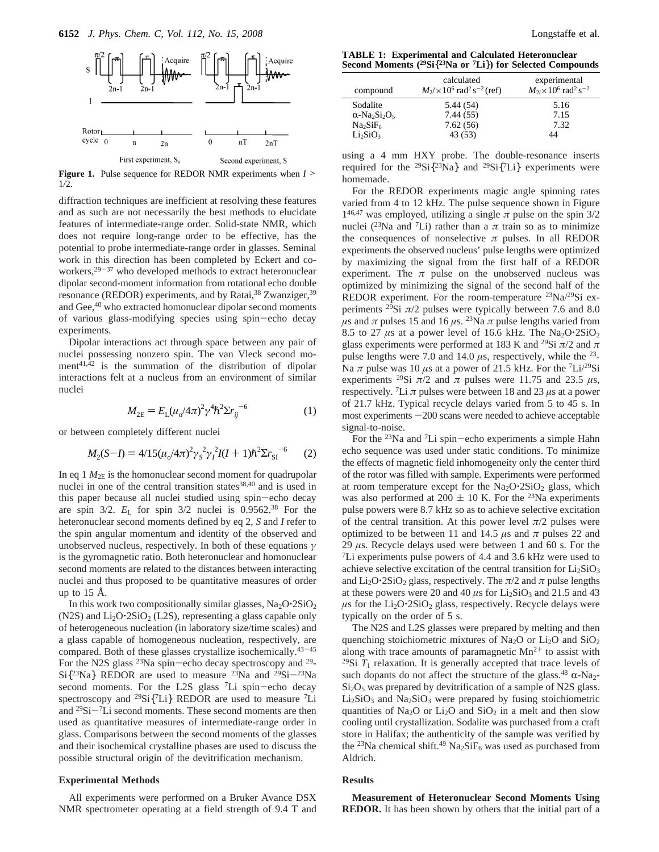

**Figure 1.** Pulse sequence for REDOR NMR experiments when *<sup>I</sup>* > 1/2.

diffraction techniques are inefficient at resolving these features and as such are not necessarily the best methods to elucidate features of intermediate-range order. Solid-state NMR, which does not require long-range order to be effective, has the potential to probe intermediate-range order in glasses. Seminal work in this direction has been completed by Eckert and coworkers, $29-37$  who developed methods to extract heteronuclear dipolar second-moment information from rotational echo double resonance (REDOR) experiments, and by Ratai,<sup>38</sup> Zwanziger,<sup>39</sup> and Gee,<sup>40</sup> who extracted homonuclear dipolar second moments of various glass-modifying species using spin-echo decay experiments.

Dipolar interactions act through space between any pair of nuclei possessing nonzero spin. The van Vleck second moment<sup>41,42</sup> is the summation of the distribution of dipolar interactions felt at a nucleus from an environment of similar nuclei

$$
M_{2E} = E_{L}(\mu_{o}/4\pi)^{2} \gamma^{4} \hbar^{2} \Sigma r_{ij}^{-6}
$$
 (1)

or between completely different nuclei

$$
M_2(S-I) = 4/15(\mu_0/4\pi)^2 \gamma_S^2 \gamma_I^2 I(I+1) \hbar^2 \Sigma r_{\rm SI}^{-6} \tag{2}
$$

In eq  $1 M_{2E}$  is the homonuclear second moment for quadrupolar nuclei in one of the central transition states<sup>38,40</sup> and is used in this paper because all nuclei studied using spin-echo decay are spin  $3/2$ .  $E_L$  for spin  $3/2$  nuclei is  $0.9562$ .<sup>38</sup> For the heteronuclear second moments defined by eq 2, *S* and *I* refer to the spin angular momentum and identity of the observed and unobserved nucleus, respectively. In both of these equations *γ* is the gyromagnetic ratio. Both heteronuclear and homonuclear second moments are related to the distances between interacting nuclei and thus proposed to be quantitative measures of order up to 15 Å.

In this work two compositionally similar glasses,  $Na<sub>2</sub>O<sub>2</sub>SiO<sub>2</sub>$ (N2S) and  $Li_2O \cdot 2SiO_2$  (L2S), representing a glass capable only of heterogeneous nucleation (in laboratory size/time scales) and a glass capable of homogeneous nucleation, respectively, are compared. Both of these glasses crystallize isochemically.43-<sup>45</sup> For the N2S glass <sup>23</sup>Na spin-echo decay spectroscopy and <sup>29</sup>- $Si{^{23}Na}$  REDOR are used to measure  $^{23}Na$  and  $^{29}Si-^{23}Na$ second moments. For the L2S glass <sup>7</sup>Li spin-echo decay spectroscopy and <sup>29</sup>Si $\{^7Li\}$  REDOR are used to measure <sup>7</sup>Li and 29Si-7Li second moments. These second moments are then used as quantitative measures of intermediate-range order in glass. Comparisons between the second moments of the glasses and their isochemical crystalline phases are used to discuss the possible structural origin of the devitrification mechanism.

# **Experimental Methods**

All experiments were performed on a Bruker Avance DSX NMR spectrometer operating at a field strength of 9.4 T and

**TABLE 1: Experimental and Calculated Heteronuclear Second Moments (29Si**{**23Na or 7Li**}**) for Selected Compounds**

| compound                                                 | calculated<br>$M_2$ / $\times$ 10 <sup>6</sup> rad <sup>2</sup> s <sup>-2</sup> (ref) | experimental<br>$M_2 \times 10^6$ rad <sup>2</sup> s <sup>-2</sup> |
|----------------------------------------------------------|---------------------------------------------------------------------------------------|--------------------------------------------------------------------|
| Sodalite                                                 | 5.44 (54)                                                                             | 5.16                                                               |
| $\alpha$ -Na <sub>2</sub> Si <sub>2</sub> O <sub>5</sub> | 7.44(55)                                                                              | 7.15                                                               |
| Na <sub>2</sub> SiF <sub>6</sub>                         | 7.62(56)                                                                              | 7.32                                                               |
| Li <sub>2</sub> SiO <sub>3</sub>                         | 43 (53)                                                                               | 44                                                                 |

using a 4 mm HXY probe. The double-resonance inserts required for the  $^{29}Si{^{23}Na}$  and  $^{29}Si{^{7}Li}$  experiments were homemade.

For the REDOR experiments magic angle spinning rates varied from 4 to 12 kHz. The pulse sequence shown in Figure  $1^{46,47}$  was employed, utilizing a single  $\pi$  pulse on the spin 3/2 nuclei (<sup>23</sup>Na and <sup>7</sup>Li) rather than a π train so as to minimize the consequences of nonselective  $\pi$  pulses. In all REDOR experiments the observed nucleus' pulse lengths were optimized by maximizing the signal from the first half of a REDOR experiment. The  $\pi$  pulse on the unobserved nucleus was optimized by minimizing the signal of the second half of the REDOR experiment. For the room-temperature  $^{23}Na^{29}Si$  experiments <sup>29</sup>Si  $\pi/2$  pulses were typically between 7.6 and 8.0  $\mu$ s and  $\pi$  pulses 15 and 16  $\mu$ s. <sup>23</sup>Na  $\pi$  pulse lengths varied from 8.5 to 27  $\mu$ s at a power level of 16.6 kHz. The Na<sub>2</sub>O·2SiO<sub>2</sub> glass experiments were performed at 183 K and 29Si *π*/2 and *π* pulse lengths were 7.0 and 14.0  $\mu$ s, respectively, while the <sup>23</sup>-Na  $\pi$  pulse was 10  $\mu$ s at a power of 21.5 kHz. For the <sup>7</sup>Li/<sup>29</sup>Si experiments <sup>29</sup>Si  $\pi/2$  and  $\pi$  pulses were 11.75 and 23.5  $\mu$ s, respectively. <sup>7</sup>Li  $\pi$  pulses were between 18 and 23  $\mu$ s at a power of 21.7 kHz. Typical recycle delays varied from 5 to 45 s. In most experiments  $-200$  scans were needed to achieve acceptable signal-to-noise.

For the 23Na and 7Li spin-echo experiments a simple Hahn echo sequence was used under static conditions. To minimize the effects of magnetic field inhomogeneity only the center third of the rotor was filled with sample. Experiments were performed at room temperature except for the  $Na<sub>2</sub>O·2SiO<sub>2</sub>$  glass, which was also performed at 200  $\pm$  10 K. For the <sup>23</sup>Na experiments pulse powers were 8.7 kHz so as to achieve selective excitation of the central transition. At this power level  $\pi/2$  pulses were optimized to be between 11 and 14.5  $\mu$ s and  $\pi$  pulses 22 and 29 *µ*s. Recycle delays used were between 1 and 60 s. For the  ${}^{7}$ Li experiments pulse powers of 4.4 and 3.6 kHz were used to achieve selective excitation of the central transition for  $Li<sub>2</sub>SiO<sub>3</sub>$ and  $Li_2O \cdot 2SiO_2$  glass, respectively. The  $\pi/2$  and  $\pi$  pulse lengths at these powers were 20 and 40  $\mu$ s for Li<sub>2</sub>SiO<sub>3</sub> and 21.5 and 43  $\mu$ s for the Li<sub>2</sub>O·2SiO<sub>2</sub> glass, respectively. Recycle delays were typically on the order of 5 s.

The N2S and L2S glasses were prepared by melting and then quenching stoichiometric mixtures of Na<sub>2</sub>O or Li<sub>2</sub>O and SiO<sub>2</sub> along with trace amounts of paramagnetic  $Mn^{2+}$  to assist with  $^{29}$ Si  $T_1$  relaxation. It is generally accepted that trace levels of such dopants do not affect the structure of the glass.<sup>48</sup>  $\alpha$ -Na<sub>2</sub>- $Si<sub>2</sub>O<sub>5</sub>$  was prepared by devitrification of a sample of N2S glass.  $Li<sub>2</sub>SiO<sub>3</sub>$  and Na<sub>2</sub>SiO<sub>3</sub> were prepared by fusing stoichiometric quantities of Na<sub>2</sub>O or Li<sub>2</sub>O and SiO<sub>2</sub> in a melt and then slow cooling until crystallization. Sodalite was purchased from a craft store in Halifax; the authenticity of the sample was verified by the <sup>23</sup>Na chemical shift.<sup>49</sup> Na<sub>2</sub>SiF<sub>6</sub> was used as purchased from Aldrich.

#### **Results**

**Measurement of Heteronuclear Second Moments Using REDOR.** It has been shown by others that the initial part of a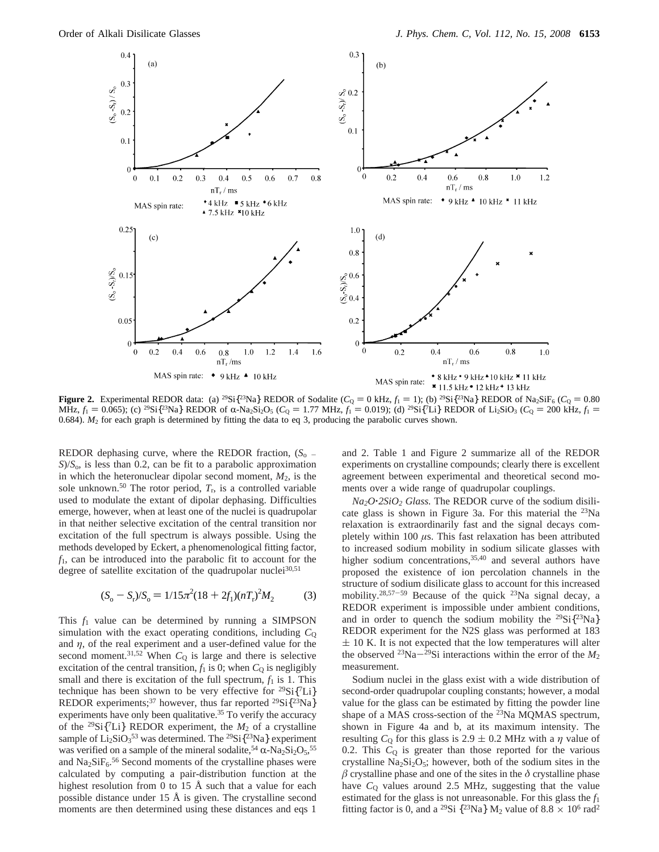

MHz, *f*<sub>1</sub> = 0.065); (c) <sup>29</sup>Si{<sup>23</sup>Na} REDOR of α-Na<sub>2</sub>Si<sub>2</sub>O<sub>5</sub> (*C*<sub>Q</sub> = 1.77 MHz, *f*<sub>1</sub> = 0.019); (d) <sup>29</sup>Si{<sup>7</sup>Li} REDOR of Li<sub>2</sub>SiO<sub>3</sub> (*C*<sub>Q</sub> = 200 kHz, *f*<sub>1</sub> = 0.684) *M*<sub>2</sub> for each graph is determined by fit 0.684).  $M_2$  for each graph is determined by fitting the data to eq 3, producing the parabolic curves shown.

REDOR dephasing curve, where the REDOR fraction,  $(S_0 S/S<sub>o</sub>$ , is less than 0.2, can be fit to a parabolic approximation in which the heteronuclear dipolar second moment,  $M_2$ , is the sole unknown.<sup>50</sup> The rotor period,  $T_r$ , is a controlled variable used to modulate the extant of dipolar dephasing. Difficulties emerge, however, when at least one of the nuclei is quadrupolar in that neither selective excitation of the central transition nor excitation of the full spectrum is always possible. Using the methods developed by Eckert, a phenomenological fitting factor, *f*1, can be introduced into the parabolic fit to account for the degree of satellite excitation of the quadrupolar nuclei $30,51$ 

$$
(S_o - S_r)/S_o = 1/15\pi^2(18 + 2f_1)(nT_r)^2M_2
$$
 (3)

This  $f_1$  value can be determined by running a SIMPSON simulation with the exact operating conditions, including  $C_0$ and *η*, of the real experiment and a user-defined value for the second moment.<sup>31,52</sup> When  $C_Q$  is large and there is selective excitation of the central transition,  $f_1$  is 0; when  $C_Q$  is negligibly small and there is excitation of the full spectrum,  $f_1$  is 1. This technique has been shown to be very effective for 29Si{7Li} REDOR experiments;<sup>37</sup> however, thus far reported  $^{29}Si{^{23}Na}$ experiments have only been qualitative.<sup>35</sup> To verify the accuracy of the <sup>29</sup>Si{<sup>7</sup>Li} REDOR experiment, the  $M_2$  of a crystalline sample of  $Li_2SiO_3^{53}$  was determined. The <sup>29</sup>Si $\{^{23}Na\}$  experiment was verified on a sample of the mineral sodalite,<sup>54</sup>  $\alpha$ -Na<sub>2</sub>Si<sub>2</sub>O<sub>5</sub>,<sup>55</sup><br>and Na<sub>2</sub>Si<sub>E</sub>, <sup>56</sup> Second moments of the crystalline phases were and  $\text{Na}_2\text{SiF}_6$ .<sup>56</sup> Second moments of the crystalline phases were calculated by computing a pair-distribution function at the highest resolution from 0 to 15 Å such that a value for each possible distance under 15 Å is given. The crystalline second moments are then determined using these distances and eqs 1

and 2. Table 1 and Figure 2 summarize all of the REDOR experiments on crystalline compounds; clearly there is excellent agreement between experimental and theoretical second moments over a wide range of quadrupolar couplings.

*Na2O*'*2SiO2 Glass.* The REDOR curve of the sodium disilicate glass is shown in Figure 3a. For this material the 23Na relaxation is extraordinarily fast and the signal decays completely within 100 *µ*s. This fast relaxation has been attributed to increased sodium mobility in sodium silicate glasses with higher sodium concentrations, 35,40 and several authors have proposed the existence of ion percolation channels in the structure of sodium disilicate glass to account for this increased mobility.28,57-<sup>59</sup> Because of the quick 23Na signal decay, a REDOR experiment is impossible under ambient conditions, and in order to quench the sodium mobility the  $^{29}Si{^{23}Na}$ REDOR experiment for the N2S glass was performed at 183  $\pm$  10 K. It is not expected that the low temperatures will alter the observed <sup>23</sup>Na<sup>-29</sup>Si interactions within the error of the  $M_2$ measurement.

Sodium nuclei in the glass exist with a wide distribution of second-order quadrupolar coupling constants; however, a modal value for the glass can be estimated by fitting the powder line shape of a MAS cross-section of the <sup>23</sup>Na MQMAS spectrum, shown in Figure 4a and b, at its maximum intensity. The resulting  $C_Q$  for this glass is 2.9  $\pm$  0.2 MHz with a  $\eta$  value of 0.2. This  $C_Q$  is greater than those reported for the various crystalline  $Na<sub>2</sub>Si<sub>2</sub>O<sub>5</sub>$ ; however, both of the sodium sites in the  $\beta$  crystalline phase and one of the sites in the  $\delta$  crystalline phase have  $C_0$  values around 2.5 MHz, suggesting that the value estimated for the glass is not unreasonable. For this glass the  $f_1$ fitting factor is 0, and a <sup>29</sup>Si  $\{^{23}Na\}$  M<sub>2</sub> value of 8.8  $\times$  10<sup>6</sup> rad<sup>2</sup>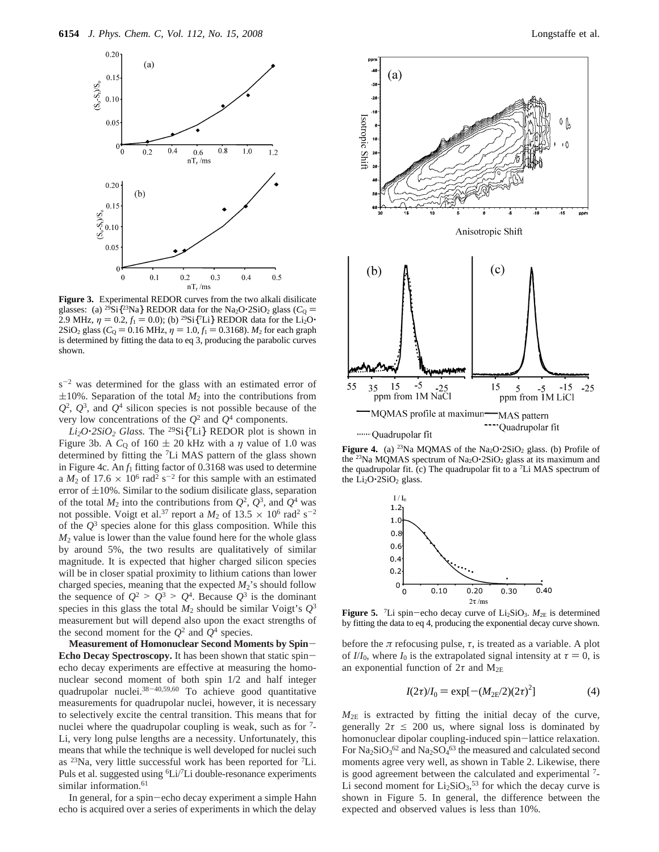

**Figure 3.** Experimental REDOR curves from the two alkali disilicate glasses: (a) <sup>29</sup>Si $\{^{23}Na\}$  REDOR data for the Na<sub>2</sub>O·2SiO<sub>2</sub> glass ( $C_0$  = 2.9 MHz,  $\eta = 0.2$ ,  $f_1 = 0.0$ ); (b) <sup>29</sup>Si{<sup>7</sup>Li} REDOR data for the Li<sub>2</sub>O.<br>2SiO<sub>2</sub> vlass (C<sub>O</sub> = 0.16 MHz,  $\eta = 1.0$ ,  $f_1 = 0.3168$ ),  $M_2$  for each graph  $2SiO_2$  glass ( $C_Q = 0.16$  MHz,  $\eta = 1.0$ ,  $f_1 = 0.3168$ ).  $M_2$  for each graph is determined by fitting the data to eq 3, producing the parabolic curves shown.

 $s^{-2}$  was determined for the glass with an estimated error of  $\pm 10$ %. Separation of the total  $M_2$  into the contributions from  $Q^2$ ,  $Q^3$ , and  $Q^4$  silicon species is not possible because of the very low concentrations of the  $Q^2$  and  $Q^4$  components.

*Li2O*'*2SiO2 Glass.* The 29Si{7Li} REDOR plot is shown in Figure 3b. A  $C_Q$  of 160  $\pm$  20 kHz with a  $\eta$  value of 1.0 was determined by fitting the 7Li MAS pattern of the glass shown in Figure 4c. An *f*<sup>1</sup> fitting factor of 0.3168 was used to determine a  $M_2$  of 17.6  $\times$  10<sup>6</sup> rad<sup>2</sup> s<sup>-2</sup> for this sample with an estimated error of  $\pm 10$ %. Similar to the sodium disilicate glass, separation of the total  $M_2$  into the contributions from  $Q^2$ ,  $Q^3$ , and  $Q^4$  was not possible. Voigt et al.<sup>37</sup> report a  $M_2$  of 13.5  $\times$  10<sup>6</sup> rad<sup>2</sup> s<sup>-2</sup> of the *Q*<sup>3</sup> species alone for this glass composition. While this *M*<sup>2</sup> value is lower than the value found here for the whole glass by around 5%, the two results are qualitatively of similar magnitude. It is expected that higher charged silicon species will be in closer spatial proximity to lithium cations than lower charged species, meaning that the expected  $M_2$ 's should follow the sequence of  $Q^2 > Q^3 > Q^4$ . Because  $Q^3$  is the dominant species in this glass the total  $M_2$  should be similar Voigt's  $Q^3$ measurement but will depend also upon the exact strengths of the second moment for the  $Q^2$  and  $Q^4$  species.

**Measurement of Homonuclear Second Moments by Spin**-**Echo Decay Spectroscopy.** It has been shown that static spinecho decay experiments are effective at measuring the homonuclear second moment of both spin 1/2 and half integer quadrupolar nuclei.38-40,59,60 To achieve good quantitative measurements for quadrupolar nuclei, however, it is necessary to selectively excite the central transition. This means that for nuclei where the quadrupolar coupling is weak, such as for  $7$ -Li, very long pulse lengths are a necessity. Unfortunately, this means that while the technique is well developed for nuclei such as 23Na, very little successful work has been reported for 7Li. Puls et al. suggested using <sup>6</sup>Li<sup>/1</sup>Li double-resonance experiments similar information.<sup>61</sup>

In general, for a spin-echo decay experiment a simple Hahn echo is acquired over a series of experiments in which the delay



**Figure 4.** (a) <sup>23</sup>Na MQMAS of the Na<sub>2</sub>O $\cdot$ 2SiO<sub>2</sub> glass. (b) Profile of the <sup>23</sup>Na MQMAS spectrum of Na<sub>2</sub>O $\cdot$ 2SiO<sub>2</sub> glass at its maximum and the quadrupolar fit. (c) The quadrupolar fit to a <sup>7</sup> Li MAS spectrum of the  $Li<sub>2</sub>O·2SiO<sub>2</sub>$  glass.



**Figure 5.** <sup>7</sup>Li spin-echo decay curve of  $Li_2SiO_3$ .  $M_{2E}$  is determined by fitting the data to eq. 4. producing the exponential decay curve shown by fitting the data to eq 4, producing the exponential decay curve shown.

before the  $\pi$  refocusing pulse,  $\tau$ , is treated as a variable. A plot of  $I/I_0$ , where  $I_0$  is the extrapolated signal intensity at  $\tau = 0$ , is an exponential function of  $2\tau$  and  $M_{2E}$ 

$$
I(2\tau)/I_0 = \exp[-(M_{2E}/2)(2\tau)^2]
$$
 (4)

 $M_{2E}$  is extracted by fitting the initial decay of the curve, generally  $2\tau \leq 200$  us, where signal loss is dominated by homonuclear dipolar coupling-induced spin-lattice relaxation. For  $\text{Na}_2\text{SiO}_3{}^{62}$  and  $\text{Na}_2\text{SO}_4{}^{63}$  the measured and calculated second moments agree very well, as shown in Table 2. Likewise, there is good agreement between the calculated and experimental 7- Li second moment for  $Li_2SiO_3$ ,<sup>53</sup> for which the decay curve is shown in Figure 5. In general, the difference between the expected and observed values is less than 10%.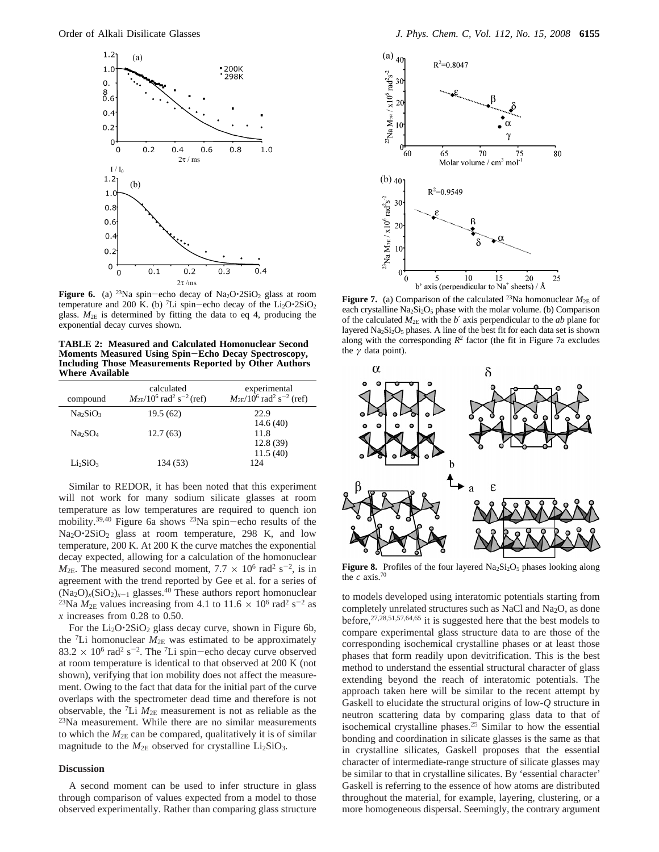

**Figure 6.** (a) <sup>23</sup>Na spin-echo decay of  $\text{Na}_2\text{O} \cdot 2\text{SiO}_2$  glass at room temperature and 200 K. (b) <sup>7</sup>Li spin-echo decay of the  $Li_2O \cdot 2SiO_2$ <br>glass  $M_{2E}$  is determined by fitting the data to eq. 4, producing the glass.  $M_{2E}$  is determined by fitting the data to eq 4, producing the exponential decay curves shown.

**TABLE 2: Measured and Calculated Homonuclear Second Moments Measured Using Spin**-**Echo Decay Spectroscopy, Including Those Measurements Reported by Other Authors Where Available**

| calculated<br>$M_{2E}/10^6$ rad <sup>2</sup> s <sup>-2</sup> (ref) | experimental<br>$M_{2E}/10^6$ rad <sup>2</sup> s <sup>-2</sup> (ref) |
|--------------------------------------------------------------------|----------------------------------------------------------------------|
| 19.5 (62)                                                          | 22.9                                                                 |
|                                                                    | 14.6(40)                                                             |
| 12.7(63)                                                           | 11.8                                                                 |
|                                                                    | 12.8(39)                                                             |
|                                                                    | 11.5(40)                                                             |
|                                                                    | 124                                                                  |
|                                                                    | 134 (53)                                                             |

Similar to REDOR, it has been noted that this experiment will not work for many sodium silicate glasses at room temperature as low temperatures are required to quench ion mobility.39,40 Figure 6a shows 23Na spin-echo results of the  $Na<sub>2</sub>O·2SiO<sub>2</sub>$  glass at room temperature, 298 K, and low temperature, 200 K. At 200 K the curve matches the exponential decay expected, allowing for a calculation of the homonuclear  $M_{2E}$ . The measured second moment,  $7.7 \times 10^6$  rad<sup>2</sup> s<sup>-2</sup>, is in agreement with the trend reported by Gee et al. for a series of  $(Na_2O)_x(SiO_2)_{x-1}$  glasses.<sup>40</sup> These authors report homonuclear <sup>23</sup>Na  $M_{2E}$  values increasing from 4.1 to 11.6 × 10<sup>6</sup> rad<sup>2</sup> s<sup>-2</sup> as *x* increases from 0.28 to 0.50.

For the  $Li_2O \cdot 2SiO_2$  glass decay curve, shown in Figure 6b, the <sup>7</sup>Li homonuclear  $M_{2E}$  was estimated to be approximately  $83.2 \times 10^6$  rad<sup>2</sup> s<sup>-2</sup>. The <sup>7</sup>Li spin-echo decay curve observed at room temperature is identical to that observed at 200 K (not shown), verifying that ion mobility does not affect the measurement. Owing to the fact that data for the initial part of the curve overlaps with the spectrometer dead time and therefore is not observable, the  ${}^{7}Li M_{2E}$  measurement is not as reliable as the 23Na measurement. While there are no similar measurements to which the  $M_{2E}$  can be compared, qualitatively it is of similar magnitude to the  $M_{2E}$  observed for crystalline  $Li_2SiO_3$ .

#### **Discussion**

A second moment can be used to infer structure in glass through comparison of values expected from a model to those observed experimentally. Rather than comparing glass structure



**Figure 7.** (a) Comparison of the calculated <sup>23</sup>Na homonuclear  $M_{2E}$  of each crystalline  $Na<sub>2</sub>Si<sub>2</sub>O<sub>5</sub>$  phase with the molar volume. (b) Comparison of the calculated  $M_{2E}$  with the *b'* axis perpendicular to the *ab* plane for layered  $Na<sub>2</sub>Si<sub>2</sub>O<sub>5</sub>$  phases. A line of the best fit for each data set is shown along with the corresponding  $R^2$  factor (the fit in Figure 7a excludes the *γ* data point).



**Figure 8.** Profiles of the four layered  $Na<sub>2</sub>Si<sub>2</sub>O<sub>5</sub>$  phases looking along the  $c$  axis.<sup>70</sup>

to models developed using interatomic potentials starting from completely unrelated structures such as NaCl and Na<sub>2</sub>O, as done before,27,28,51,57,64,65 it is suggested here that the best models to compare experimental glass structure data to are those of the corresponding isochemical crystalline phases or at least those phases that form readily upon devitrification. This is the best method to understand the essential structural character of glass extending beyond the reach of interatomic potentials. The approach taken here will be similar to the recent attempt by Gaskell to elucidate the structural origins of low-*Q* structure in neutron scattering data by comparing glass data to that of isochemical crystalline phases.25 Similar to how the essential bonding and coordination in silicate glasses is the same as that in crystalline silicates, Gaskell proposes that the essential character of intermediate-range structure of silicate glasses may be similar to that in crystalline silicates. By 'essential character' Gaskell is referring to the essence of how atoms are distributed throughout the material, for example, layering, clustering, or a more homogeneous dispersal. Seemingly, the contrary argument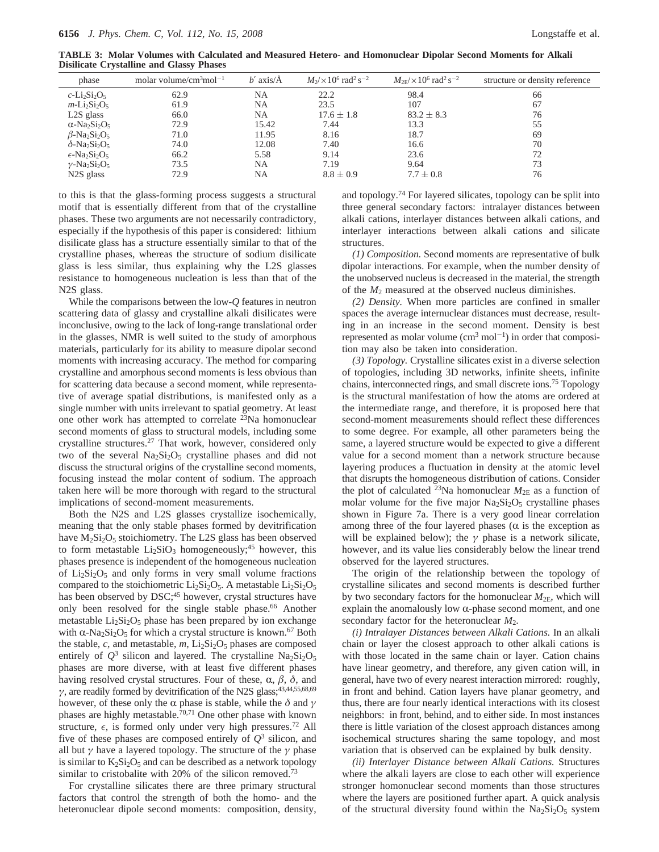**TABLE 3: Molar Volumes with Calculated and Measured Hetero- and Homonuclear Dipolar Second Moments for Alkali Disilicate Crystalline and Glassy Phases**

| phase                                                      | molar volume/ $\rm cm3mol-1$ | $b'$ axis/ $\AA$ | $M_2/\times 10^6$ rad <sup>2</sup> s <sup>-2</sup> | $M_{2F}/\times 10^6$ rad <sup>2</sup> s <sup>-2</sup> | structure or density reference |
|------------------------------------------------------------|------------------------------|------------------|----------------------------------------------------|-------------------------------------------------------|--------------------------------|
| $c$ -Li <sub>2</sub> Si <sub>2</sub> O <sub>5</sub>        | 62.9                         | NA               | 22.2                                               | 98.4                                                  | 66                             |
| $m$ -Li <sub>2</sub> Si <sub>2</sub> O <sub>5</sub>        | 61.9                         | NA               | 23.5                                               | 107                                                   | 67                             |
| $L2S$ glass                                                | 66.0                         | NA               | $17.6 \pm 1.8$                                     | $83.2 \pm 8.3$                                        | 76                             |
| $\alpha$ -Na <sub>2</sub> Si <sub>2</sub> O <sub>5</sub>   | 72.9                         | 15.42            | 7.44                                               | 13.3                                                  | 55                             |
| $\beta$ -Na <sub>2</sub> Si <sub>2</sub> O <sub>5</sub>    | 71.0                         | 11.95            | 8.16                                               | 18.7                                                  | 69                             |
| $\delta$ -Na <sub>2</sub> Si <sub>2</sub> O <sub>5</sub>   | 74.0                         | 12.08            | 7.40                                               | 16.6                                                  | 70                             |
| $\epsilon$ -Na <sub>2</sub> Si <sub>2</sub> O <sub>5</sub> | 66.2                         | 5.58             | 9.14                                               | 23.6                                                  | 72                             |
| $\gamma$ -Na <sub>2</sub> Si <sub>2</sub> O <sub>5</sub>   | 73.5                         | NA               | 7.19                                               | 9.64                                                  | 73                             |
| N <sub>2</sub> S glass                                     | 72.9                         | NA               | $8.8 \pm 0.9$                                      | $7.7 \pm 0.8$                                         | 76                             |

to this is that the glass-forming process suggests a structural motif that is essentially different from that of the crystalline phases. These two arguments are not necessarily contradictory, especially if the hypothesis of this paper is considered: lithium disilicate glass has a structure essentially similar to that of the crystalline phases, whereas the structure of sodium disilicate glass is less similar, thus explaining why the L2S glasses resistance to homogeneous nucleation is less than that of the N2S glass.

While the comparisons between the low-*Q* features in neutron scattering data of glassy and crystalline alkali disilicates were inconclusive, owing to the lack of long-range translational order in the glasses, NMR is well suited to the study of amorphous materials, particularly for its ability to measure dipolar second moments with increasing accuracy. The method for comparing crystalline and amorphous second moments is less obvious than for scattering data because a second moment, while representative of average spatial distributions, is manifested only as a single number with units irrelevant to spatial geometry. At least one other work has attempted to correlate 23Na homonuclear second moments of glass to structural models, including some crystalline structures.27 That work, however, considered only two of the several  $Na<sub>2</sub>Si<sub>2</sub>O<sub>5</sub>$  crystalline phases and did not discuss the structural origins of the crystalline second moments, focusing instead the molar content of sodium. The approach taken here will be more thorough with regard to the structural implications of second-moment measurements.

Both the N2S and L2S glasses crystallize isochemically, meaning that the only stable phases formed by devitrification have M<sub>2</sub>Si<sub>2</sub>O<sub>5</sub> stoichiometry. The L2S glass has been observed to form metastable  $Li_2SiO_3$  homogeneously;<sup>45</sup> however, this phases presence is independent of the homogeneous nucleation of  $Li_2Si_2O_5$  and only forms in very small volume fractions compared to the stoichiometric  $Li<sub>2</sub>Si<sub>2</sub>O<sub>5</sub>$ . A metastable  $Li<sub>2</sub>Si<sub>2</sub>O<sub>5</sub>$ has been observed by DSC;<sup>45</sup> however, crystal structures have only been resolved for the single stable phase.<sup>66</sup> Another metastable  $Li_2Si_2O_5$  phase has been prepared by ion exchange with  $\alpha$ -Na<sub>2</sub>Si<sub>2</sub>O<sub>5</sub> for which a crystal structure is known.<sup>67</sup> Both the stable,  $c$ , and metastable,  $m$ ,  $Li<sub>2</sub>Si<sub>2</sub>O<sub>5</sub>$  phases are composed entirely of  $Q^3$  silicon and layered. The crystalline Na<sub>2</sub>Si<sub>2</sub>O<sub>5</sub> phases are more diverse, with at least five different phases having resolved crystal structures. Four of these,  $\alpha$ ,  $\beta$ ,  $\delta$ , and *γ*, are readily formed by devitrification of the N2S glass;<sup>43,44,55,68,69</sup> however, of these only the  $\alpha$  phase is stable, while the  $\delta$  and  $\gamma$ phases are highly metastable.<sup>70,71</sup> One other phase with known structure,  $\epsilon$ , is formed only under very high pressures.<sup>72</sup> All five of these phases are composed entirely of  $Q^3$  silicon, and all but *γ* have a layered topology. The structure of the *γ* phase is similar to  $K_2Si_2O_5$  and can be described as a network topology similar to cristobalite with 20% of the silicon removed.<sup>73</sup>

For crystalline silicates there are three primary structural factors that control the strength of both the homo- and the heteronuclear dipole second moments: composition, density,

and topology.74 For layered silicates, topology can be split into three general secondary factors: intralayer distances between alkali cations, interlayer distances between alkali cations, and interlayer interactions between alkali cations and silicate structures.

*(1) Composition.* Second moments are representative of bulk dipolar interactions. For example, when the number density of the unobserved nucleus is decreased in the material, the strength of the *M*<sup>2</sup> measured at the observed nucleus diminishes.

*(2) Density.* When more particles are confined in smaller spaces the average internuclear distances must decrease, resulting in an increase in the second moment. Density is best represented as molar volume  $(cm<sup>3</sup> mol<sup>-1</sup>)$  in order that composition may also be taken into consideration.

*(3) Topology.* Crystalline silicates exist in a diverse selection of topologies, including 3D networks, infinite sheets, infinite chains, interconnected rings, and small discrete ions.75 Topology is the structural manifestation of how the atoms are ordered at the intermediate range, and therefore, it is proposed here that second-moment measurements should reflect these differences to some degree. For example, all other parameters being the same, a layered structure would be expected to give a different value for a second moment than a network structure because layering produces a fluctuation in density at the atomic level that disrupts the homogeneous distribution of cations. Consider the plot of calculated <sup>23</sup>Na homonuclear  $M_{2E}$  as a function of molar volume for the five major  $Na<sub>2</sub>Si<sub>2</sub>O<sub>5</sub>$  crystalline phases shown in Figure 7a. There is a very good linear correlation among three of the four layered phases  $(\alpha$  is the exception as will be explained below); the  $\gamma$  phase is a network silicate, however, and its value lies considerably below the linear trend observed for the layered structures.

The origin of the relationship between the topology of crystalline silicates and second moments is described further by two secondary factors for the homonuclear *M*2E, which will explain the anomalously low  $\alpha$ -phase second moment, and one secondary factor for the heteronuclear *M*2.

*(i) Intralayer Distances between Alkali Cations.* In an alkali chain or layer the closest approach to other alkali cations is with those located in the same chain or layer. Cation chains have linear geometry, and therefore, any given cation will, in general, have two of every nearest interaction mirrored: roughly, in front and behind. Cation layers have planar geometry, and thus, there are four nearly identical interactions with its closest neighbors: in front, behind, and to either side. In most instances there is little variation of the closest approach distances among isochemical structures sharing the same topology, and most variation that is observed can be explained by bulk density.

*(ii) Interlayer Distance between Alkali Cations.* Structures where the alkali layers are close to each other will experience stronger homonuclear second moments than those structures where the layers are positioned further apart. A quick analysis of the structural diversity found within the  $Na<sub>2</sub>Si<sub>2</sub>O<sub>5</sub>$  system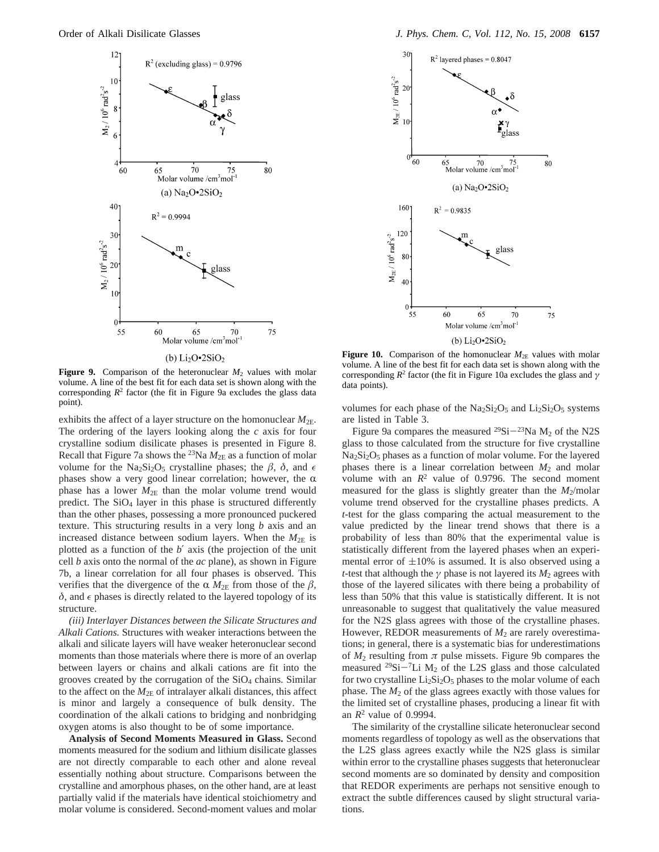

(b)  $Li<sub>2</sub>O<sub>2</sub>SiO<sub>2</sub>$ 

**Figure 9.** Comparison of the heteronuclear  $M_2$  values with molar volume. A line of the best fit for each data set is shown along with the corresponding  $R^2$  factor (the fit in Figure 9a excludes the glass data point).

exhibits the affect of a layer structure on the homonuclear  $M_{2E}$ . The ordering of the layers looking along the *c* axis for four crystalline sodium disilicate phases is presented in Figure 8. Recall that Figure 7a shows the 23Na *M*2E as a function of molar volume for the Na<sub>2</sub>Si<sub>2</sub>O<sub>5</sub> crystalline phases; the  $\beta$ ,  $\delta$ , and  $\epsilon$ phases show a very good linear correlation; however, the  $\alpha$ phase has a lower *M*2E than the molar volume trend would predict. The SiO<sub>4</sub> layer in this phase is structured differently than the other phases, possessing a more pronounced puckered texture. This structuring results in a very long *b* axis and an increased distance between sodium layers. When the  $M_{2E}$  is plotted as a function of the *b*′ axis (the projection of the unit cell *b* axis onto the normal of the *ac* plane), as shown in Figure 7b, a linear correlation for all four phases is observed. This verifies that the divergence of the  $\alpha$   $M_{2E}$  from those of the  $\beta$ ,  $\delta$ , and  $\epsilon$  phases is directly related to the layered topology of its structure.

*(iii) Interlayer Distances between the Silicate Structures and Alkali Cations.* Structures with weaker interactions between the alkali and silicate layers will have weaker heteronuclear second moments than those materials where there is more of an overlap between layers or chains and alkali cations are fit into the grooves created by the corrugation of the SiO4 chains. Similar to the affect on the  $M_{2E}$  of intralayer alkali distances, this affect is minor and largely a consequence of bulk density. The coordination of the alkali cations to bridging and nonbridging oxygen atoms is also thought to be of some importance.

**Analysis of Second Moments Measured in Glass.** Second moments measured for the sodium and lithium disilicate glasses are not directly comparable to each other and alone reveal essentially nothing about structure. Comparisons between the crystalline and amorphous phases, on the other hand, are at least partially valid if the materials have identical stoichiometry and molar volume is considered. Second-moment values and molar



Figure 10. Comparison of the homonuclear  $M_{2E}$  values with molar volume. A line of the best fit for each data set is shown along with the corresponding *R*<sup>2</sup> factor (the fit in Figure 10a excludes the glass and *γ* data points).

volumes for each phase of the  $Na<sub>2</sub>Si<sub>2</sub>O<sub>5</sub>$  and  $Li<sub>2</sub>Si<sub>2</sub>O<sub>5</sub>$  systems are listed in Table 3.

Figure 9a compares the measured  $^{29}Si - ^{23}Na$  M<sub>2</sub> of the N2S glass to those calculated from the structure for five crystalline Na<sub>2</sub>Si<sub>2</sub>O<sub>5</sub> phases as a function of molar volume. For the layered phases there is a linear correlation between  $M_2$  and molar volume with an  $R^2$  value of 0.9796. The second moment measured for the glass is slightly greater than the  $M_2$ /molar volume trend observed for the crystalline phases predicts. A *t*-test for the glass comparing the actual measurement to the value predicted by the linear trend shows that there is a probability of less than 80% that the experimental value is statistically different from the layered phases when an experimental error of  $\pm 10\%$  is assumed. It is also observed using a *t*-test that although the *γ* phase is not layered its  $M_2$  agrees with those of the layered silicates with there being a probability of less than 50% that this value is statistically different. It is not unreasonable to suggest that qualitatively the value measured for the N2S glass agrees with those of the crystalline phases. However, REDOR measurements of *M*<sup>2</sup> are rarely overestimations; in general, there is a systematic bias for underestimations of  $M_2$  resulting from  $\pi$  pulse missets. Figure 9b compares the measured  $^{29}$ Si $-7$ Li M<sub>2</sub> of the L2S glass and those calculated for two crystalline  $Li_2Si_2O_5$  phases to the molar volume of each phase. The  $M_2$  of the glass agrees exactly with those values for the limited set of crystalline phases, producing a linear fit with an *R*<sup>2</sup> value of 0.9994.

The similarity of the crystalline silicate heteronuclear second moments regardless of topology as well as the observations that the L2S glass agrees exactly while the N2S glass is similar within error to the crystalline phases suggests that heteronuclear second moments are so dominated by density and composition that REDOR experiments are perhaps not sensitive enough to extract the subtle differences caused by slight structural variations.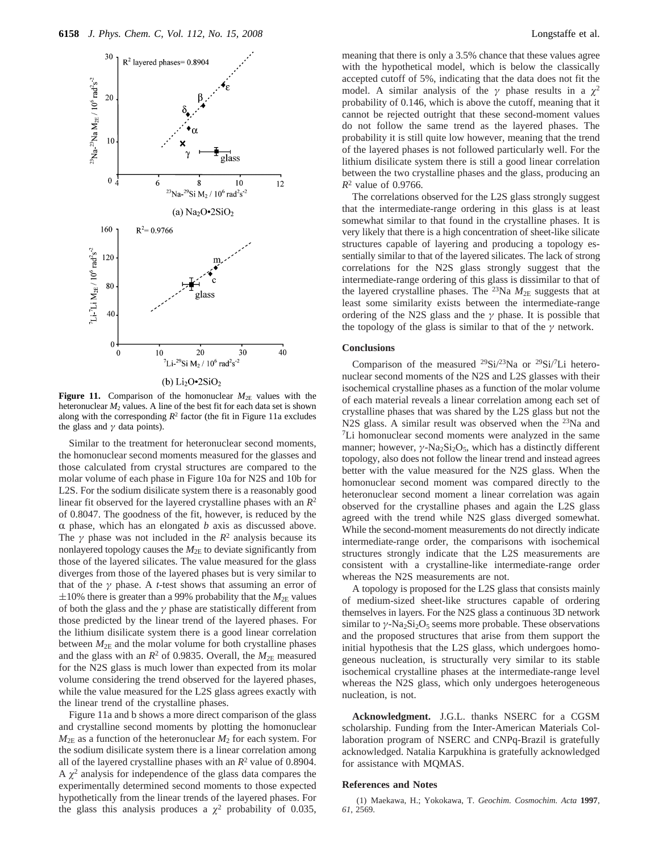

(b)  $Li<sub>2</sub>O<sub>•</sub>2SiO<sub>2</sub>$ 

Figure 11. Comparison of the homonuclear  $M_{2E}$  values with the heteronuclear  $M_2$  values. A line of the best fit for each data set is shown along with the corresponding  $R^2$  factor (the fit in Figure 11a excludes the glass and  $\gamma$  data points).

Similar to the treatment for heteronuclear second moments, the homonuclear second moments measured for the glasses and those calculated from crystal structures are compared to the molar volume of each phase in Figure 10a for N2S and 10b for L2S. For the sodium disilicate system there is a reasonably good linear fit observed for the layered crystalline phases with an *R*<sup>2</sup> of 0.8047. The goodness of the fit, however, is reduced by the  $\alpha$  phase, which has an elongated *b* axis as discussed above. The  $\gamma$  phase was not included in the  $R^2$  analysis because its nonlayered topology causes the *M*2E to deviate significantly from those of the layered silicates. The value measured for the glass diverges from those of the layered phases but is very similar to that of the *γ* phase. A *t*-test shows that assuming an error of  $\pm 10$ % there is greater than a 99% probability that the  $M_{2E}$  values of both the glass and the *γ* phase are statistically different from those predicted by the linear trend of the layered phases. For the lithium disilicate system there is a good linear correlation between  $M_{2E}$  and the molar volume for both crystalline phases and the glass with an  $R^2$  of 0.9835. Overall, the  $M_{2E}$  measured for the N2S glass is much lower than expected from its molar volume considering the trend observed for the layered phases, while the value measured for the L2S glass agrees exactly with the linear trend of the crystalline phases.

Figure 11a and b shows a more direct comparison of the glass and crystalline second moments by plotting the homonuclear  $M_{2E}$  as a function of the heteronuclear  $M_2$  for each system. For the sodium disilicate system there is a linear correlation among all of the layered crystalline phases with an  $R^2$  value of 0.8904. A  $\chi^2$  analysis for independence of the glass data compares the experimentally determined second moments to those expected hypothetically from the linear trends of the layered phases. For the glass this analysis produces a  $\chi^2$  probability of 0.035, meaning that there is only a 3.5% chance that these values agree with the hypothetical model, which is below the classically accepted cutoff of 5%, indicating that the data does not fit the model. A similar analysis of the *γ* phase results in a *ø*<sup>2</sup> probability of 0.146, which is above the cutoff, meaning that it cannot be rejected outright that these second-moment values do not follow the same trend as the layered phases. The probability it is still quite low however, meaning that the trend of the layered phases is not followed particularly well. For the lithium disilicate system there is still a good linear correlation between the two crystalline phases and the glass, producing an *R*<sup>2</sup> value of 0.9766.

The correlations observed for the L2S glass strongly suggest that the intermediate-range ordering in this glass is at least somewhat similar to that found in the crystalline phases. It is very likely that there is a high concentration of sheet-like silicate structures capable of layering and producing a topology essentially similar to that of the layered silicates. The lack of strong correlations for the N2S glass strongly suggest that the intermediate-range ordering of this glass is dissimilar to that of the layered crystalline phases. The <sup>23</sup>Na  $M_{2E}$  suggests that at least some similarity exists between the intermediate-range ordering of the N2S glass and the *γ* phase. It is possible that the topology of the glass is similar to that of the *γ* network.

## **Conclusions**

Comparison of the measured <sup>29</sup>Si/<sup>23</sup>Na or <sup>29</sup>Si/<sup>7</sup>Li heteronuclear second moments of the N2S and L2S glasses with their isochemical crystalline phases as a function of the molar volume of each material reveals a linear correlation among each set of crystalline phases that was shared by the L2S glass but not the N2S glass. A similar result was observed when the <sup>23</sup>Na and <sup>7</sup>Li homonuclear second moments were analyzed in the same manner; however, *γ*-Na<sub>2</sub>Si<sub>2</sub>O<sub>5</sub>, which has a distinctly different topology, also does not follow the linear trend and instead agrees better with the value measured for the N2S glass. When the homonuclear second moment was compared directly to the heteronuclear second moment a linear correlation was again observed for the crystalline phases and again the L2S glass agreed with the trend while N2S glass diverged somewhat. While the second-moment measurements do not directly indicate intermediate-range order, the comparisons with isochemical structures strongly indicate that the L2S measurements are consistent with a crystalline-like intermediate-range order whereas the N2S measurements are not.

A topology is proposed for the L2S glass that consists mainly of medium-sized sheet-like structures capable of ordering themselves in layers. For the N2S glass a continuous 3D network similar to  $\gamma$ -Na<sub>2</sub>Si<sub>2</sub>O<sub>5</sub> seems more probable. These observations and the proposed structures that arise from them support the initial hypothesis that the L2S glass, which undergoes homogeneous nucleation, is structurally very similar to its stable isochemical crystalline phases at the intermediate-range level whereas the N2S glass, which only undergoes heterogeneous nucleation, is not.

**Acknowledgment.** J.G.L. thanks NSERC for a CGSM scholarship. Funding from the Inter-American Materials Collaboration program of NSERC and CNPq-Brazil is gratefully acknowledged. Natalia Karpukhina is gratefully acknowledged for assistance with MQMAS.

#### **References and Notes**

(1) Maekawa, H.; Yokokawa, T. *Geochim. Cosmochim. Acta* **1997**, *61*, 2569.